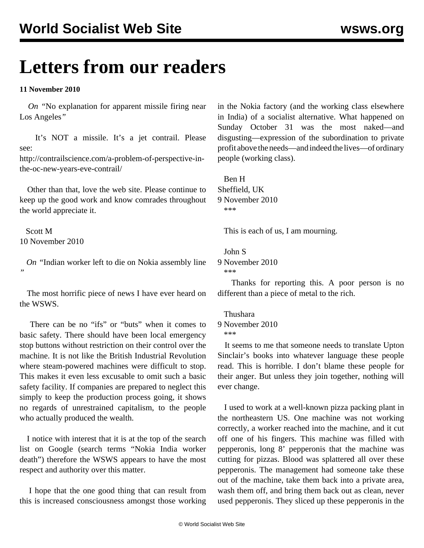# **Letters from our readers**

#### **11 November 2010**

 *On "*[No explanation for apparent missile firing near](/en/articles/2010/nov2010/miss-n10.shtml) [Los Angeles](/en/articles/2010/nov2010/miss-n10.shtml)*"*

 It's NOT a missile. It's a jet contrail. Please see:

[http://contrailscience.com/a-problem-of-perspective-in](http://contrailscience.com/a-problem-of-perspective-in-the-oc-new-years-eve-contrail/)[the-oc-new-years-eve-contrail/](http://contrailscience.com/a-problem-of-perspective-in-the-oc-new-years-eve-contrail/)

 Other than that, love the web site. Please continue to keep up the good work and know comrades throughout the world appreciate it.

 Scott M 10 November 2010

 *On "*[Indian worker left to die on Nokia assembly line](/en/articles/2010/nov2010/noki-n09.shtml) *"*

 The most horrific piece of news I have ever heard on the WSWS.

 There can be no "ifs" or "buts" when it comes to basic safety. There should have been local emergency stop buttons without restriction on their control over the machine. It is not like the British Industrial Revolution where steam-powered machines were difficult to stop. This makes it even less excusable to omit such a basic safety facility. If companies are prepared to neglect this simply to keep the production process going, it shows no regards of unrestrained capitalism, to the people who actually produced the wealth.

 I notice with interest that it is at the top of the search list on Google (search terms "Nokia India worker death") therefore the WSWS appears to have the most respect and authority over this matter.

 I hope that the one good thing that can result from this is increased consciousness amongst those working

in the Nokia factory (and the working class elsewhere in India) of a socialist alternative. What happened on Sunday October 31 was the most naked—and disgusting—expression of the subordination to private profit above the needs—and indeed the lives—of ordinary people (working class).

 Ben H Sheffield, UK 9 November 2010 \*\*\*

This is each of us, I am mourning.

John S

9 November 2010 \*\*\*

 Thanks for reporting this. A poor person is no different than a piece of metal to the rich.

Thushara

#### 9 November 2010

\*\*\*

 It seems to me that someone needs to translate Upton Sinclair's books into whatever language these people read. This is horrible. I don't blame these people for their anger. But unless they join together, nothing will ever change.

 I used to work at a well-known pizza packing plant in the northeastern US. One machine was not working correctly, a worker reached into the machine, and it cut off one of his fingers. This machine was filled with pepperonis, long 8' pepperonis that the machine was cutting for pizzas. Blood was splattered all over these pepperonis. The management had someone take these out of the machine, take them back into a private area, wash them off, and bring them back out as clean, never used pepperonis. They sliced up these pepperonis in the